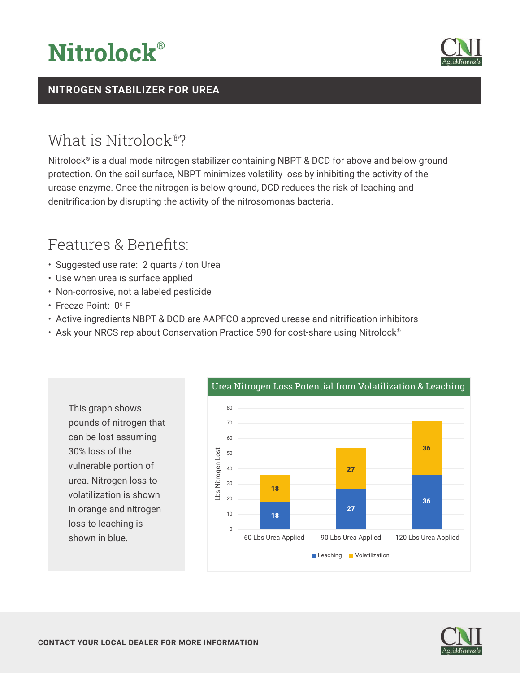



### **NITROGEN STABILIZER FOR UREA**

## What is Nitrolock®?

Nitrolock® is a dual mode nitrogen stabilizer containing NBPT & DCD for above and below ground protection. On the soil surface, NBPT minimizes volatility loss by inhibiting the activity of the urease enzyme. Once the nitrogen is below ground, DCD reduces the risk of leaching and denitrification by disrupting the activity of the nitrosomonas bacteria.

## Features & Benefits:

- Suggested use rate: 2 quarts / ton Urea
- Use when urea is surface applied
- Non-corrosive, not a labeled pesticide
- Freeze Point: 0° F
- Active ingredients NBPT & DCD are AAPFCO approved urease and nitrification inhibitors
- Ask your NRCS rep about Conservation Practice 590 for cost-share using Nitrolock<sup>®</sup>



#### Urea Nitrogen Loss Potential from Volatilization & Leaching